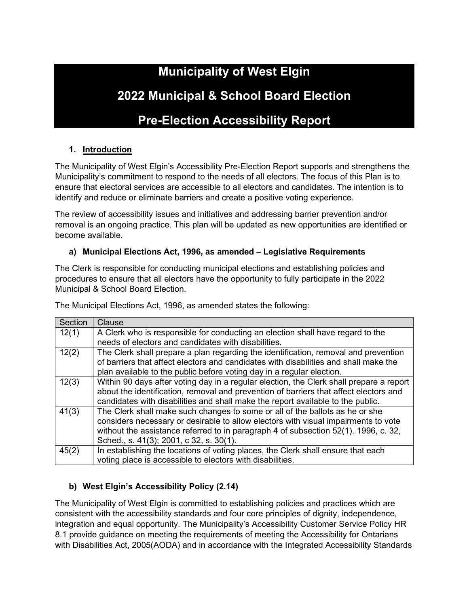# **Municipality of West Elgin**

# **2022 Municipal & School Board Election**

# **Pre-Election Accessibility Report**

## **1. Introduction**

The Municipality of West Elgin's Accessibility Pre-Election Report supports and strengthens the Municipality's commitment to respond to the needs of all electors. The focus of this Plan is to ensure that electoral services are accessible to all electors and candidates. The intention is to identify and reduce or eliminate barriers and create a positive voting experience.

The review of accessibility issues and initiatives and addressing barrier prevention and/or removal is an ongoing practice. This plan will be updated as new opportunities are identified or become available.

#### **a) Municipal Elections Act, 1996, as amended – Legislative Requirements**

The Clerk is responsible for conducting municipal elections and establishing policies and procedures to ensure that all electors have the opportunity to fully participate in the 2022 Municipal & School Board Election.

The Municipal Elections Act, 1996, as amended states the following:

| Section | Clause                                                                                  |
|---------|-----------------------------------------------------------------------------------------|
| 12(1)   | A Clerk who is responsible for conducting an election shall have regard to the          |
|         | needs of electors and candidates with disabilities.                                     |
| 12(2)   | The Clerk shall prepare a plan regarding the identification, removal and prevention     |
|         | of barriers that affect electors and candidates with disabilities and shall make the    |
|         | plan available to the public before voting day in a regular election.                   |
| 12(3)   | Within 90 days after voting day in a regular election, the Clerk shall prepare a report |
|         | about the identification, removal and prevention of barriers that affect electors and   |
|         | candidates with disabilities and shall make the report available to the public.         |
| 41(3)   | The Clerk shall make such changes to some or all of the ballots as he or she            |
|         | considers necessary or desirable to allow electors with visual impairments to vote      |
|         | without the assistance referred to in paragraph 4 of subsection 52(1). 1996, c. 32,     |
|         | Sched., s. 41(3); 2001, c 32, s. 30(1).                                                 |
| 45(2)   | In establishing the locations of voting places, the Clerk shall ensure that each        |
|         | voting place is accessible to electors with disabilities.                               |

### **b) West Elgin's Accessibility Policy (2.14)**

The Municipality of West Elgin is committed to establishing policies and practices which are consistent with the accessibility standards and four core principles of dignity, independence, integration and equal opportunity. The Municipality's Accessibility Customer Service Policy HR 8.1 provide guidance on meeting the requirements of meeting the Accessibility for Ontarians with Disabilities Act, 2005(AODA) and in accordance with the Integrated Accessibility Standards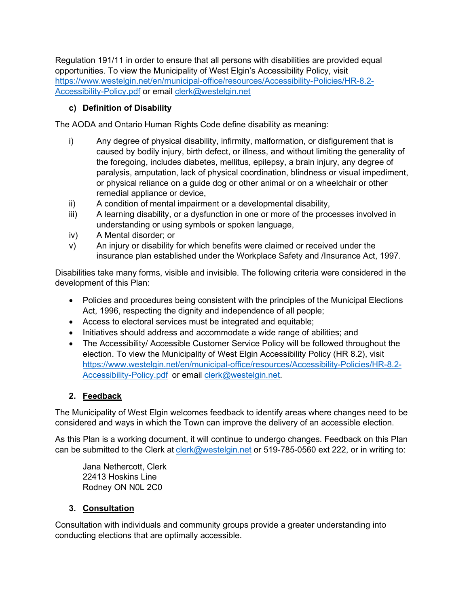Regulation 191/11 in order to ensure that all persons with disabilities are provided equal opportunities. To view the Municipality of West Elgin's Accessibility Policy, visit [https://www.westelgin.net/en/municipal-office/resources/Accessibility-Policies/HR-8.2-](https://www.westelgin.net/en/municipal-office/resources/Accessibility-Policies/HR-8.2-Accessibility-Policy.pdf) [Accessibility-Policy.pdf](https://www.westelgin.net/en/municipal-office/resources/Accessibility-Policies/HR-8.2-Accessibility-Policy.pdf) or email [clerk@westelgin.net](mailto:clerk@westelgin.net)

## **c) Definition of Disability**

The AODA and Ontario Human Rights Code define disability as meaning:

- i) Any degree of physical disability, infirmity, malformation, or disfigurement that is caused by bodily injury, birth defect, or illness, and without limiting the generality of the foregoing, includes diabetes, mellitus, epilepsy, a brain injury, any degree of paralysis, amputation, lack of physical coordination, blindness or visual impediment, or physical reliance on a guide dog or other animal or on a wheelchair or other remedial appliance or device,
- ii) A condition of mental impairment or a developmental disability,
- iii) A learning disability, or a dysfunction in one or more of the processes involved in understanding or using symbols or spoken language,
- iv) A Mental disorder; or
- v) An injury or disability for which benefits were claimed or received under the insurance plan established under the Workplace Safety and /Insurance Act, 1997.

Disabilities take many forms, visible and invisible. The following criteria were considered in the development of this Plan:

- Policies and procedures being consistent with the principles of the Municipal Elections Act, 1996, respecting the dignity and independence of all people;
- Access to electoral services must be integrated and equitable;
- Initiatives should address and accommodate a wide range of abilities; and
- The Accessibility/ Accessible Customer Service Policy will be followed throughout the election. To view the Municipality of West Elgin Accessibility Policy (HR 8.2), visit [https://www.westelgin.net/en/municipal-office/resources/Accessibility-Policies/HR-8.2-](https://www.westelgin.net/en/municipal-office/resources/Accessibility-Policies/HR-8.2-Accessibility-Policy.pdf) [Accessibility-Policy.pdf](https://www.westelgin.net/en/municipal-office/resources/Accessibility-Policies/HR-8.2-Accessibility-Policy.pdf) or email [clerk@westelgin.net.](mailto:clerk@westelgin.net)

# **2. Feedback**

The Municipality of West Elgin welcomes feedback to identify areas where changes need to be considered and ways in which the Town can improve the delivery of an accessible election.

As this Plan is a working document, it will continue to undergo changes. Feedback on this Plan can be submitted to the Clerk at [clerk@westelgin.net](mailto:clerk@westelgin.net) or 519-785-0560 ext 222, or in writing to:

Jana Nethercott, Clerk 22413 Hoskins Line Rodney ON N0L 2C0

### **3. Consultation**

Consultation with individuals and community groups provide a greater understanding into conducting elections that are optimally accessible.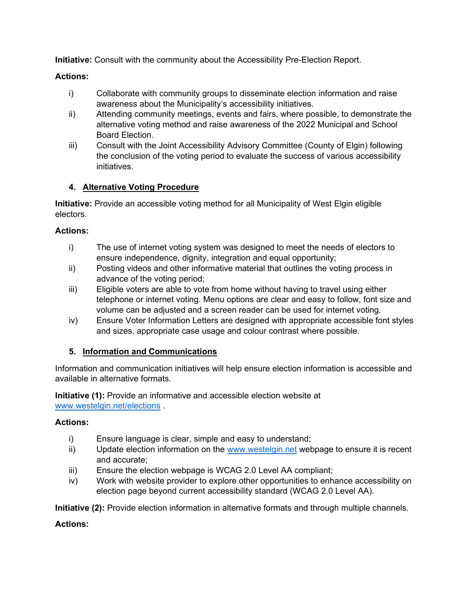**Initiative:** Consult with the community about the Accessibility Pre-Election Report.

#### **Actions:**

- i) Collaborate with community groups to disseminate election information and raise awareness about the Municipality's accessibility initiatives.
- ii) Attending community meetings, events and fairs, where possible, to demonstrate the alternative voting method and raise awareness of the 2022 Municipal and School Board Election.
- iii) Consult with the Joint Accessibility Advisory Committee (County of Elgin) following the conclusion of the voting period to evaluate the success of various accessibility initiatives.

### **4. Alternative Voting Procedure**

**Initiative:** Provide an accessible voting method for all Municipality of West Elgin eligible electors.

#### **Actions:**

- i) The use of internet voting system was designed to meet the needs of electors to ensure independence, dignity, integration and equal opportunity;
- ii) Posting videos and other informative material that outlines the voting process in advance of the voting period;
- iii) Eligible voters are able to vote from home without having to travel using either telephone or internet voting. Menu options are clear and easy to follow, font size and volume can be adjusted and a screen reader can be used for internet voting.
- iv) Ensure Voter Information Letters are designed with appropriate accessible font styles and sizes, appropriate case usage and colour contrast where possible.

### **5. Information and Communications**

Information and communication initiatives will help ensure election information is accessible and available in alternative formats.

**Initiative (1):** Provide an informative and accessible election website at [www.westelgin.net/elections](http://www.westelgin.net/elections) .

#### **Actions:**

- i) Ensure language is clear, simple and easy to understand;
- ii) Update election information on the [www.westelgin.net](http://www.westelgin.net/) webpage to ensure it is recent and accurate;
- iii) Ensure the election webpage is WCAG 2.0 Level AA compliant;
- iv) Work with website provider to explore other opportunities to enhance accessibility on election page beyond current accessibility standard (WCAG 2.0 Level AA).

**Initiative (2):** Provide election information in alternative formats and through multiple channels.

### **Actions:**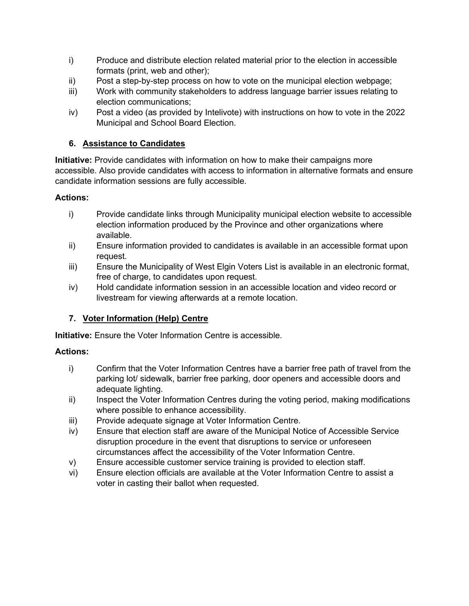- i) Produce and distribute election related material prior to the election in accessible formats (print, web and other);
- ii) Post a step-by-step process on how to vote on the municipal election webpage;
- iii) Work with community stakeholders to address language barrier issues relating to election communications;
- iv) Post a video (as provided by Intelivote) with instructions on how to vote in the 2022 Municipal and School Board Election.

## **6. Assistance to Candidates**

**Initiative:** Provide candidates with information on how to make their campaigns more accessible. Also provide candidates with access to information in alternative formats and ensure candidate information sessions are fully accessible.

### **Actions:**

- i) Provide candidate links through Municipality municipal election website to accessible election information produced by the Province and other organizations where available.
- ii) Ensure information provided to candidates is available in an accessible format upon request.
- iii) Ensure the Municipality of West Elgin Voters List is available in an electronic format, free of charge, to candidates upon request.
- iv) Hold candidate information session in an accessible location and video record or livestream for viewing afterwards at a remote location.

# **7. Voter Information (Help) Centre**

**Initiative:** Ensure the Voter Information Centre is accessible.

### **Actions:**

- i) Confirm that the Voter Information Centres have a barrier free path of travel from the parking lot/ sidewalk, barrier free parking, door openers and accessible doors and adequate lighting.
- ii) Inspect the Voter Information Centres during the voting period, making modifications where possible to enhance accessibility.
- iii) Provide adequate signage at Voter Information Centre.
- iv) Ensure that election staff are aware of the Municipal Notice of Accessible Service disruption procedure in the event that disruptions to service or unforeseen circumstances affect the accessibility of the Voter Information Centre.
- v) Ensure accessible customer service training is provided to election staff.
- vi) Ensure election officials are available at the Voter Information Centre to assist a voter in casting their ballot when requested.